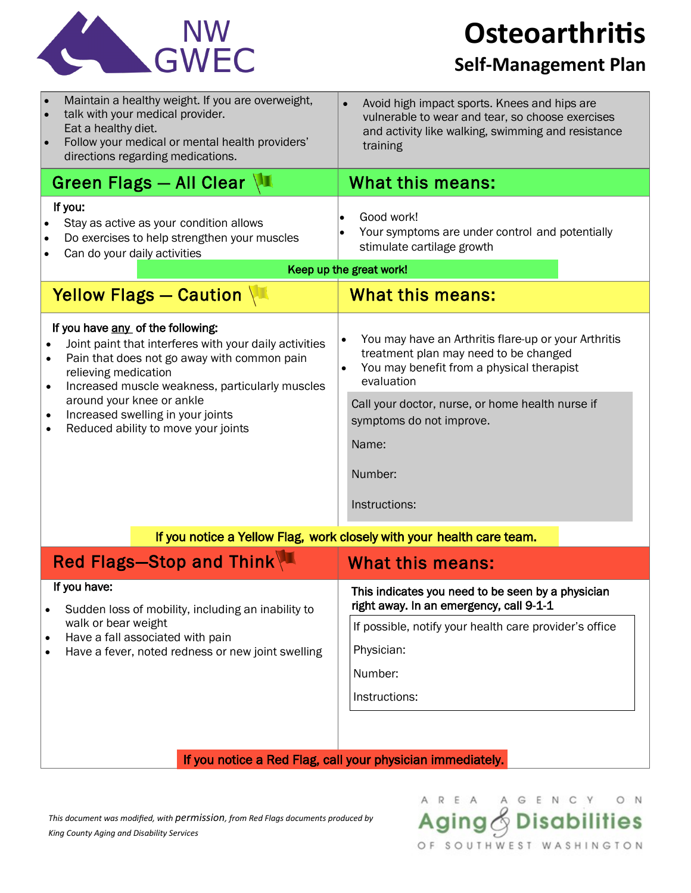

**Osteoarthritis**

## **Self-Management Plan**

| Maintain a healthy weight. If you are overweight,<br>talk with your medical provider.<br>Eat a healthy diet.<br>Follow your medical or mental health providers'<br>directions regarding medications.                                                                                                                                                     | Avoid high impact sports. Knees and hips are<br>vulnerable to wear and tear, so choose exercises<br>and activity like walking, swimming and resistance<br>training                                                                                                            |
|----------------------------------------------------------------------------------------------------------------------------------------------------------------------------------------------------------------------------------------------------------------------------------------------------------------------------------------------------------|-------------------------------------------------------------------------------------------------------------------------------------------------------------------------------------------------------------------------------------------------------------------------------|
| Green Flags - All Clear \                                                                                                                                                                                                                                                                                                                                | What this means:                                                                                                                                                                                                                                                              |
| If you:<br>Stay as active as your condition allows<br>Do exercises to help strengthen your muscles<br>Can do your daily activities                                                                                                                                                                                                                       | Good work!<br>Your symptoms are under control and potentially<br>stimulate cartilage growth<br>Keep up the great work!                                                                                                                                                        |
| Yellow Flags - Caution                                                                                                                                                                                                                                                                                                                                   | <b>What this means:</b>                                                                                                                                                                                                                                                       |
| If you have any of the following:<br>Joint paint that interferes with your daily activities<br>Pain that does not go away with common pain<br>relieving medication<br>Increased muscle weakness, particularly muscles<br>$\bullet$<br>around your knee or ankle<br>Increased swelling in your joints<br>$\bullet$<br>Reduced ability to move your joints | You may have an Arthritis flare-up or your Arthritis<br>treatment plan may need to be changed<br>You may benefit from a physical therapist<br>evaluation<br>Call your doctor, nurse, or home health nurse if<br>symptoms do not improve.<br>Name:<br>Number:<br>Instructions: |
| If you notice a Yellow Flag, work closely with your health care team.                                                                                                                                                                                                                                                                                    |                                                                                                                                                                                                                                                                               |
| Red Flags-Stop and Think                                                                                                                                                                                                                                                                                                                                 | <b>What this means:</b>                                                                                                                                                                                                                                                       |
| If you have:<br>Sudden loss of mobility, including an inability to<br>walk or bear weight<br>Have a fall associated with pain<br>٠<br>Have a fever, noted redness or new joint swelling                                                                                                                                                                  | This indicates you need to be seen by a physician<br>right away. In an emergency, call 9-1-1<br>If possible, notify your health care provider's office<br>Physician:<br>Number:<br>Instructions:                                                                              |
| If you notice a Red Flag, call your physician immediately.                                                                                                                                                                                                                                                                                               |                                                                                                                                                                                                                                                                               |

*This document was modified, with permission, from Red Flags documents produced by King County Aging and Disability Services*